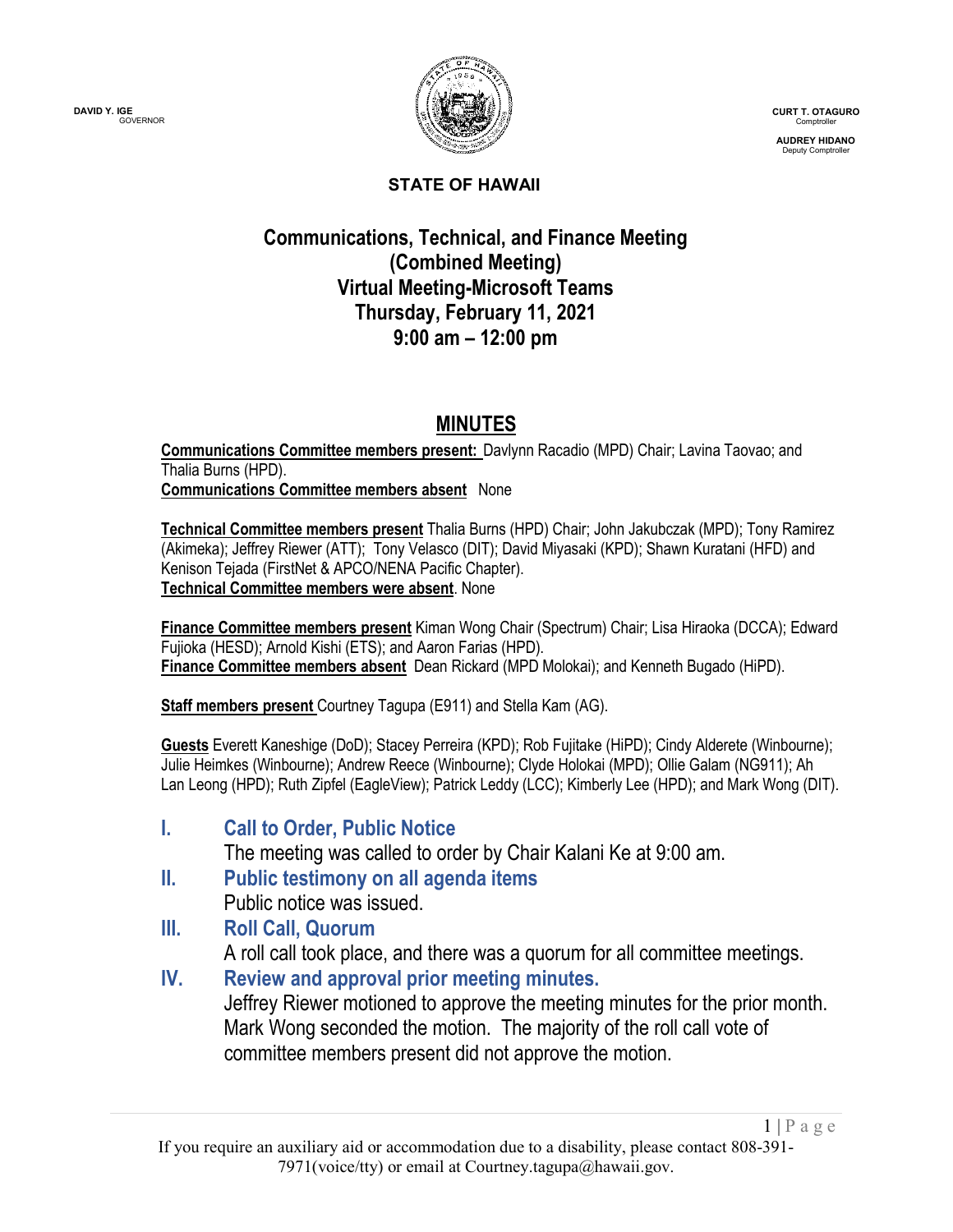

**CURT T. OTAGURO** Comptroller

**AUDREY HIDANO** Deputy Comptroller

 $1 | P \text{ a } g \text{ e}$ 

### **STATE OF HAWAII**

## **Communications, Technical, and Finance Meeting (Combined Meeting) Virtual Meeting-Microsoft Teams Thursday, February 11, 2021 9:00 am – 12:00 pm**

## **MINUTES**

**Communications Committee members present:** Davlynn Racadio (MPD) Chair; Lavina Taovao; and Thalia Burns (HPD). **Communications Committee members absent** None

**Technical Committee members present** Thalia Burns (HPD) Chair; John Jakubczak (MPD); Tony Ramirez (Akimeka); Jeffrey Riewer (ATT); Tony Velasco (DIT); David Miyasaki (KPD); Shawn Kuratani (HFD) and Kenison Tejada (FirstNet & APCO/NENA Pacific Chapter). **Technical Committee members were absent**. None

**Finance Committee members present** Kiman Wong Chair (Spectrum) Chair; Lisa Hiraoka (DCCA); Edward Fujioka (HESD); Arnold Kishi (ETS); and Aaron Farias (HPD). **Finance Committee members absent** Dean Rickard (MPD Molokai); and Kenneth Bugado (HiPD).

**Staff members present** Courtney Tagupa (E911) and Stella Kam (AG).

**Guests** Everett Kaneshige (DoD); Stacey Perreira (KPD); Rob Fujitake (HiPD); Cindy Alderete (Winbourne); Julie Heimkes (Winbourne); Andrew Reece (Winbourne); Clyde Holokai (MPD); Ollie Galam (NG911); Ah Lan Leong (HPD); Ruth Zipfel (EagleView); Patrick Leddy (LCC); Kimberly Lee (HPD); and Mark Wong (DIT).

**I. Call to Order, Public Notice**

The meeting was called to order by Chair Kalani Ke at 9:00 am.

**II. Public testimony on all agenda items** Public notice was issued.

## **III. Roll Call, Quorum**

A roll call took place, and there was a quorum for all committee meetings.

**IV. Review and approval prior meeting minutes.**

Jeffrey Riewer motioned to approve the meeting minutes for the prior month. Mark Wong seconded the motion. The majority of the roll call vote of committee members present did not approve the motion.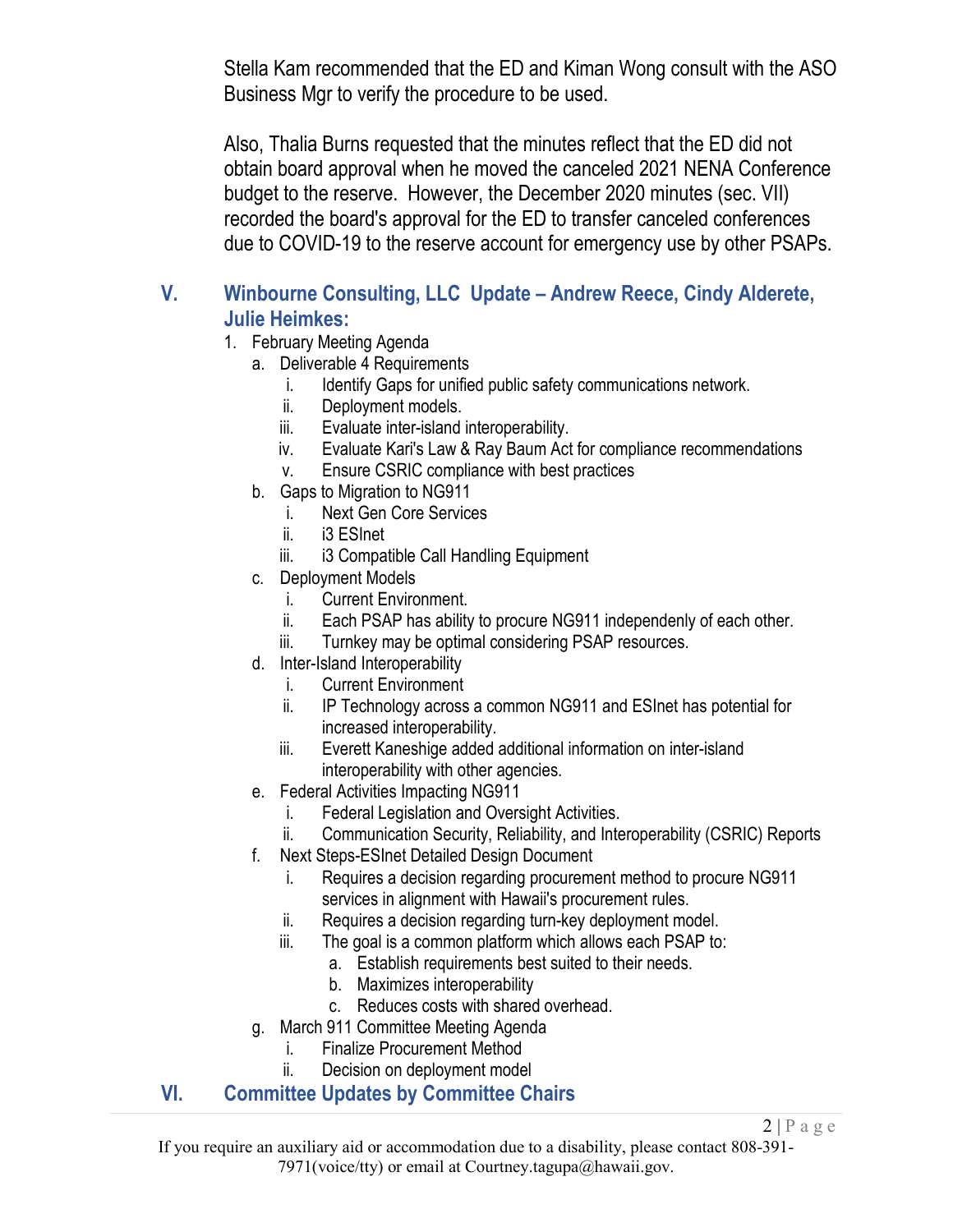Stella Kam recommended that the ED and Kiman Wong consult with the ASO Business Mgr to verify the procedure to be used.

Also, Thalia Burns requested that the minutes reflect that the ED did not obtain board approval when he moved the canceled 2021 NENA Conference budget to the reserve. However, the December 2020 minutes (sec. VII) recorded the board's approval for the ED to transfer canceled conferences due to COVID-19 to the reserve account for emergency use by other PSAPs.

## **V. Winbourne Consulting, LLC Update – Andrew Reece, Cindy Alderete, Julie Heimkes:**

- 1. February Meeting Agenda
	- a. Deliverable 4 Requirements
		- i. Identify Gaps for unified public safety communications network.
		- ii. Deployment models.
		- iii. Evaluate inter-island interoperability.
		- iv. Evaluate Kari's Law & Ray Baum Act for compliance recommendations
		- v. Ensure CSRIC compliance with best practices
	- b. Gaps to Migration to NG911
		- i. Next Gen Core Services
		- ii. i3 ESInet
		- iii. i3 Compatible Call Handling Equipment
	- c. Deployment Models
		- i. Current Environment.
		- ii. Each PSAP has ability to procure NG911 independenly of each other.
		- iii. Turnkey may be optimal considering PSAP resources.
	- d. Inter-Island Interoperability
		- i. Current Environment
		- ii. IP Technology across a common NG911 and ESInet has potential for increased interoperability.
		- iii. Everett Kaneshige added additional information on inter-island interoperability with other agencies.
	- e. Federal Activities Impacting NG911
		- i. Federal Legislation and Oversight Activities.
		- ii. Communication Security, Reliability, and Interoperability (CSRIC) Reports

 $2 | P \text{ a } g \text{ e}$ 

- f. Next Steps-ESInet Detailed Design Document
	- i. Requires a decision regarding procurement method to procure NG911 services in alignment with Hawaii's procurement rules.
	- ii. Requires a decision regarding turn-key deployment model.
	- iii. The goal is a common platform which allows each PSAP to:
		- a. Establish requirements best suited to their needs.
		- b. Maximizes interoperability
		- c. Reduces costs with shared overhead.
- g. March 911 Committee Meeting Agenda
	- i. Finalize Procurement Method
	- ii. Decision on deployment model

### **VI. Committee Updates by Committee Chairs**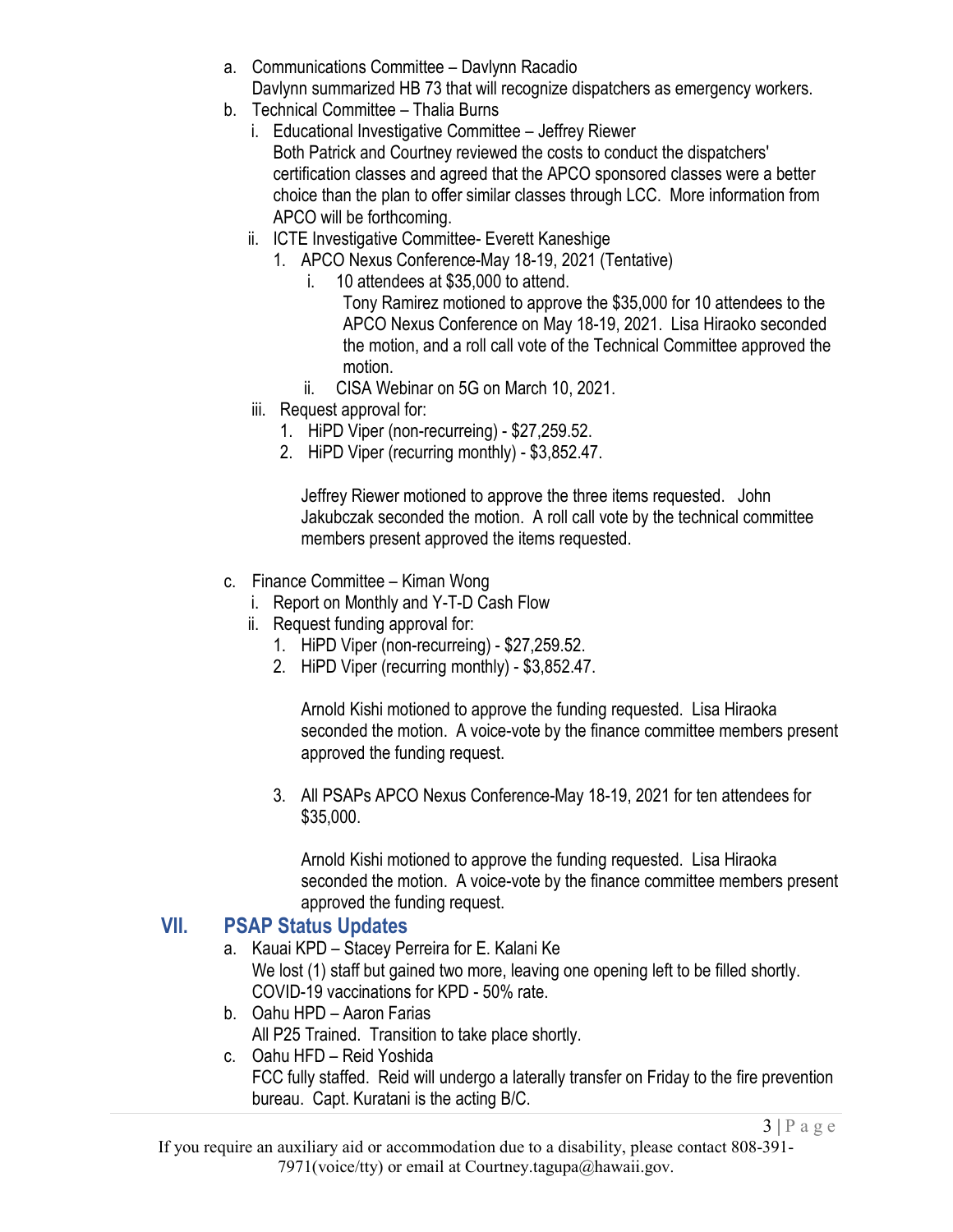- a. Communications Committee Davlynn Racadio Davlynn summarized HB 73 that will recognize dispatchers as emergency workers.
- b. Technical Committee Thalia Burns
	- i. Educational Investigative Committee Jeffrey Riewer Both Patrick and Courtney reviewed the costs to conduct the dispatchers' certification classes and agreed that the APCO sponsored classes were a better choice than the plan to offer similar classes through LCC. More information from APCO will be forthcoming.
	- ii. ICTE Investigative Committee- Everett Kaneshige
		- 1. APCO Nexus Conference-May 18-19, 2021 (Tentative)
			- i. 10 attendees at \$35,000 to attend.
				- Tony Ramirez motioned to approve the \$35,000 for 10 attendees to the APCO Nexus Conference on May 18-19, 2021. Lisa Hiraoko seconded the motion, and a roll call vote of the Technical Committee approved the motion.
			- ii. CISA Webinar on 5G on March 10, 2021.
	- iii. Request approval for:
		- 1. HiPD Viper (non-recurreing) \$27,259.52.
		- 2. HiPD Viper (recurring monthly) \$3,852.47.

Jeffrey Riewer motioned to approve the three items requested. John Jakubczak seconded the motion. A roll call vote by the technical committee members present approved the items requested.

- c. Finance Committee Kiman Wong
	- i. Report on Monthly and Y-T-D Cash Flow
	- ii. Request funding approval for:
		- 1. HiPD Viper (non-recurreing) \$27,259.52.
		- 2. HiPD Viper (recurring monthly) \$3,852.47.

Arnold Kishi motioned to approve the funding requested. Lisa Hiraoka seconded the motion. A voice-vote by the finance committee members present approved the funding request.

3. All PSAPs APCO Nexus Conference-May 18-19, 2021 for ten attendees for \$35,000.

Arnold Kishi motioned to approve the funding requested. Lisa Hiraoka seconded the motion. A voice-vote by the finance committee members present approved the funding request.

## **VII. PSAP Status Updates**

- a. Kauai KPD Stacey Perreira for E. Kalani Ke We lost (1) staff but gained two more, leaving one opening left to be filled shortly. COVID-19 vaccinations for KPD - 50% rate.
- b. Oahu HPD Aaron Farias All P25 Trained. Transition to take place shortly.

#### c. Oahu HFD – Reid Yoshida FCC fully staffed. Reid will undergo a laterally transfer on Friday to the fire prevention bureau. Capt. Kuratani is the acting B/C.